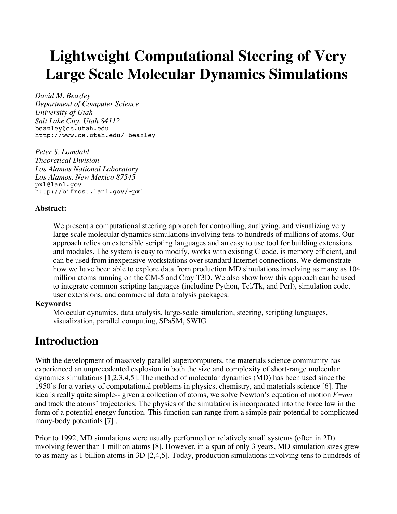# **Lightweight Computational Steering of Very Large Scale Molecular Dynamics Simulations**

*David M. Beazley Department of Computer Science University of Utah Salt Lake City, Utah 84112*  beazley@cs.utah.edu http://www.cs.utah.edu/~beazley

*Peter S. Lomdahl Theoretical Division Los Alamos National Laboratory Los Alamos, New Mexico 87545*  pxl@lanl.gov http://bifrost.lanl.gov/~pxl

#### **Abstract:**

We present a computational steering approach for controlling, analyzing, and visualizing very large scale molecular dynamics simulations involving tens to hundreds of millions of atoms. Our approach relies on extensible scripting languages and an easy to use tool for building extensions and modules. The system is easy to modify, works with existing C code, is memory efficient, and can be used from inexpensive workstations over standard Internet connections. We demonstrate how we have been able to explore data from production MD simulations involving as many as 104 million atoms running on the CM-5 and Cray T3D. We also show how this approach can be used to integrate common scripting languages (including Python, Tcl/Tk, and Perl), simulation code, user extensions, and commercial data analysis packages.

#### **Keywords:**

Molecular dynamics, data analysis, large-scale simulation, steering, scripting languages, visualization, parallel computing, SPaSM, SWIG

#### **Introduction**

With the development of massively parallel supercomputers, the materials science community has experienced an unprecedented explosion in both the size and complexity of short-range molecular dynamics simulations [1,2,3,4,5]. The method of molecular dynamics (MD) has been used since the 1950's for a variety of computational problems in physics, chemistry, and materials science [6]. The idea is really quite simple-- given a collection of atoms, we solve Newton's equation of motion *F=ma* and track the atoms' trajectories. The physics of the simulation is incorporated into the force law in the form of a potential energy function. This function can range from a simple pair-potential to complicated many-body potentials [7] .

Prior to 1992, MD simulations were usually performed on relatively small systems (often in 2D) involving fewer than 1 million atoms [8]. However, in a span of only 3 years, MD simulation sizes grew to as many as 1 billion atoms in 3D [2,4,5]. Today, production simulations involving tens to hundreds of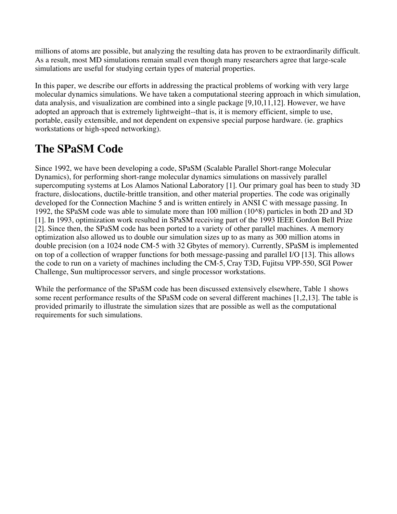millions of atoms are possible, but analyzing the resulting data has proven to be extraordinarily difficult. As a result, most MD simulations remain small even though many researchers agree that large-scale simulations are useful for studying certain types of material properties.

In this paper, we describe our efforts in addressing the practical problems of working with very large molecular dynamics simulations. We have taken a computational steering approach in which simulation, data analysis, and visualization are combined into a single package [9,10,11,12]. However, we have adopted an approach that is extremely lightweight--that is, it is memory efficient, simple to use, portable, easily extensible, and not dependent on expensive special purpose hardware. (ie. graphics workstations or high-speed networking).

# **The SPaSM Code**

Since 1992, we have been developing a code, SPaSM (Scalable Parallel Short-range Molecular Dynamics), for performing short-range molecular dynamics simulations on massively parallel supercomputing systems at Los Alamos National Laboratory [1]. Our primary goal has been to study 3D fracture, dislocations, ductile-brittle transition, and other material properties. The code was originally developed for the Connection Machine 5 and is written entirely in ANSI C with message passing. In 1992, the SPaSM code was able to simulate more than 100 million (10^8) particles in both 2D and 3D [1]. In 1993, optimization work resulted in SPaSM receiving part of the 1993 IEEE Gordon Bell Prize [2]. Since then, the SPaSM code has been ported to a variety of other parallel machines. A memory optimization also allowed us to double our simulation sizes up to as many as 300 million atoms in double precision (on a 1024 node CM-5 with 32 Gbytes of memory). Currently, SPaSM is implemented on top of a collection of wrapper functions for both message-passing and parallel I/O [13]. This allows the code to run on a variety of machines including the CM-5, Cray T3D, Fujitsu VPP-550, SGI Power Challenge, Sun multiprocessor servers, and single processor workstations.

While the performance of the SPaSM code has been discussed extensively elsewhere, Table 1 shows some recent performance results of the SPaSM code on several different machines [1,2,13]. The table is provided primarily to illustrate the simulation sizes that are possible as well as the computational requirements for such simulations.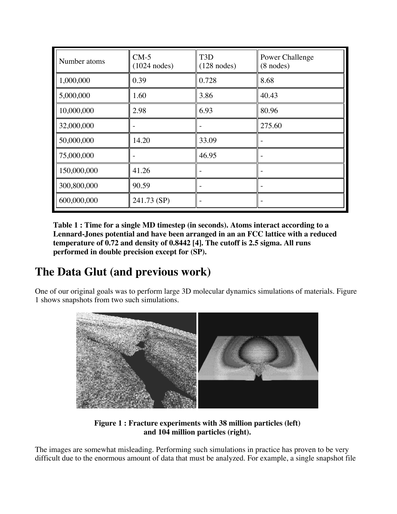| Number atoms | $CM-5$<br>$(1024$ nodes) | T <sub>3</sub> D<br>$(128$ nodes) | Power Challenge<br>$(8$ nodes) |
|--------------|--------------------------|-----------------------------------|--------------------------------|
| 1,000,000    | 0.39                     | 0.728                             | 8.68                           |
| 5,000,000    | 1.60                     | 3.86                              | 40.43                          |
| 10,000,000   | 2.98                     | 6.93                              | 80.96                          |
| 32,000,000   |                          |                                   | 275.60                         |
| 50,000,000   | 14.20                    | 33.09                             |                                |
| 75,000,000   |                          | 46.95                             |                                |
| 150,000,000  | 41.26                    |                                   |                                |
| 300,800,000  | 90.59                    |                                   |                                |
| 600,000,000  | 241.73 (SP)              |                                   |                                |

**Table 1 : Time for a single MD timestep (in seconds). Atoms interact according to a Lennard-Jones potential and have been arranged in an an FCC lattice with a reduced temperature of 0.72 and density of 0.8442 [4]. The cutoff is 2.5 sigma. All runs performed in double precision except for (SP).** 

### **The Data Glut (and previous work)**

One of our original goals was to perform large 3D molecular dynamics simulations of materials. Figure 1 shows snapshots from two such simulations.



**Figure 1 : Fracture experiments with 38 million particles (left) and 104 million particles (right).** 

The images are somewhat misleading. Performing such simulations in practice has proven to be very difficult due to the enormous amount of data that must be analyzed. For example, a single snapshot file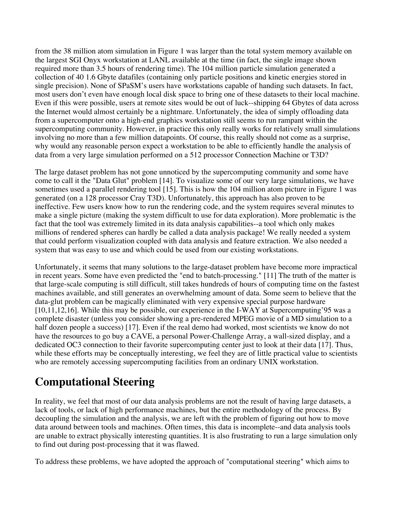from the 38 million atom simulation in Figure 1 was larger than the total system memory available on the largest SGI Onyx workstation at LANL available at the time (in fact, the single image shown required more than 3.5 hours of rendering time). The 104 million particle simulation generated a collection of 40 1.6 Gbyte datafiles (containing only particle positions and kinetic energies stored in single precision). None of SPaSM's users have workstations capable of handing such datasets. In fact, most users don't even have enough local disk space to bring one of these datasets to their local machine. Even if this were possible, users at remote sites would be out of luck--shipping 64 Gbytes of data across the Internet would almost certainly be a nightmare. Unfortunately, the idea of simply offloading data from a supercomputer onto a high-end graphics workstation still seems to run rampant within the supercomputing community. However, in practice this only really works for relatively small simulations involving no more than a few million datapoints. Of course, this really should not come as a surprise, why would any reasonable person expect a workstation to be able to efficiently handle the analysis of data from a very large simulation performed on a 512 processor Connection Machine or T3D?

The large dataset problem has not gone unnoticed by the supercomputing community and some have come to call it the "Data Glut" problem [14]. To visualize some of our very large simulations, we have sometimes used a parallel rendering tool [15]. This is how the 104 million atom picture in Figure 1 was generated (on a 128 processor Cray T3D). Unfortunately, this approach has also proven to be ineffective. Few users know how to run the rendering code, and the system requires several minutes to make a single picture (making the system difficult to use for data exploration). More problematic is the fact that the tool was extremely limited in its data analysis capabilities--a tool which only makes millions of rendered spheres can hardly be called a data analysis package! We really needed a system that could perform visualization coupled with data analysis and feature extraction. We also needed a system that was easy to use and which could be used from our existing workstations.

Unfortunately, it seems that many solutions to the large-dataset problem have become more impractical in recent years. Some have even predicted the "end to batch-processing." [11] The truth of the matter is that large-scale computing is still difficult, still takes hundreds of hours of computing time on the fastest machines available, and still generates an overwhelming amount of data. Some seem to believe that the data-glut problem can be magically eliminated with very expensive special purpose hardware [10,11,12,16]. While this may be possible, our experience in the I-WAY at Supercomputing'95 was a complete disaster (unless you consider showing a pre-rendered MPEG movie of a MD simulation to a half dozen people a success) [17]. Even if the real demo had worked, most scientists we know do not have the resources to go buy a CAVE, a personal Power-Challenge Array, a wall-sized display, and a dedicated OC3 connection to their favorite supercomputing center just to look at their data [17]. Thus, while these efforts may be conceptually interesting, we feel they are of little practical value to scientists who are remotely accessing supercomputing facilities from an ordinary UNIX workstation.

# **Computational Steering**

In reality, we feel that most of our data analysis problems are not the result of having large datasets, a lack of tools, or lack of high performance machines, but the entire methodology of the process. By decoupling the simulation and the analysis, we are left with the problem of figuring out how to move data around between tools and machines. Often times, this data is incomplete--and data analysis tools are unable to extract physically interesting quantities. It is also frustrating to run a large simulation only to find out during post-processing that it was flawed.

To address these problems, we have adopted the approach of "computational steering" which aims to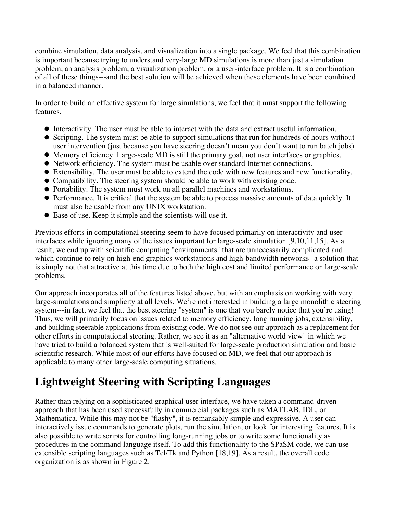combine simulation, data analysis, and visualization into a single package. We feel that this combination is important because trying to understand very-large MD simulations is more than just a simulation problem, an analysis problem, a visualization problem, or a user-interface problem. It is a combination of all of these things---and the best solution will be achieved when these elements have been combined in a balanced manner.

In order to build an effective system for large simulations, we feel that it must support the following features.

- Interactivity. The user must be able to interact with the data and extract useful information.
- Scripting. The system must be able to support simulations that run for hundreds of hours without user intervention (just because you have steering doesn't mean you don't want to run batch jobs).
- Memory efficiency. Large-scale MD is still the primary goal, not user interfaces or graphics.
- Network efficiency. The system must be usable over standard Internet connections.
- Extensibility. The user must be able to extend the code with new features and new functionality.
- Compatibility. The steering system should be able to work with existing code.
- Portability. The system must work on all parallel machines and workstations.
- Performance. It is critical that the system be able to process massive amounts of data quickly. It must also be usable from any UNIX workstation.
- Ease of use. Keep it simple and the scientists will use it.

Previous efforts in computational steering seem to have focused primarily on interactivity and user interfaces while ignoring many of the issues important for large-scale simulation [9,10,11,15]. As a result, we end up with scientific computing "environments" that are unnecessarily complicated and which continue to rely on high-end graphics workstations and high-bandwidth networks--a solution that is simply not that attractive at this time due to both the high cost and limited performance on large-scale problems.

Our approach incorporates all of the features listed above, but with an emphasis on working with very large-simulations and simplicity at all levels. We're not interested in building a large monolithic steering system---in fact, we feel that the best steering "system" is one that you barely notice that you're using! Thus, we will primarily focus on issues related to memory efficiency, long running jobs, extensibility, and building steerable applications from existing code. We do not see our approach as a replacement for other efforts in computational steering. Rather, we see it as an "alternative world view" in which we have tried to build a balanced system that is well-suited for large-scale production simulation and basic scientific research. While most of our efforts have focused on MD, we feel that our approach is applicable to many other large-scale computing situations.

# **Lightweight Steering with Scripting Languages**

Rather than relying on a sophisticated graphical user interface, we have taken a command-driven approach that has been used successfully in commercial packages such as MATLAB, IDL, or Mathematica. While this may not be "flashy", it is remarkably simple and expressive. A user can interactively issue commands to generate plots, run the simulation, or look for interesting features. It is also possible to write scripts for controlling long-running jobs or to write some functionality as procedures in the command language itself. To add this functionality to the SPaSM code, we can use extensible scripting languages such as Tcl/Tk and Python [18,19]. As a result, the overall code organization is as shown in Figure 2.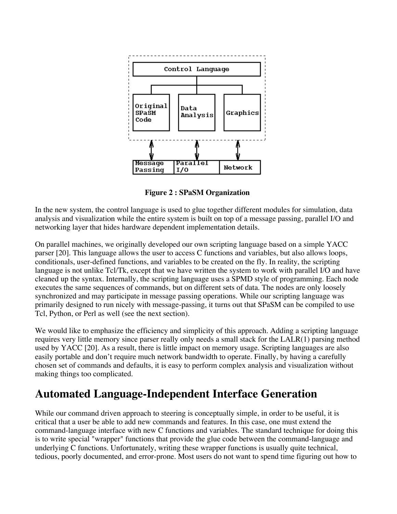

**Figure 2 : SPaSM Organization** 

In the new system, the control language is used to glue together different modules for simulation, data analysis and visualization while the entire system is built on top of a message passing, parallel I/O and networking layer that hides hardware dependent implementation details.

On parallel machines, we originally developed our own scripting language based on a simple YACC parser [20]. This language allows the user to access C functions and variables, but also allows loops, conditionals, user-defined functions, and variables to be created on the fly. In reality, the scripting language is not unlike Tcl/Tk, except that we have written the system to work with parallel I/O and have cleaned up the syntax. Internally, the scripting language uses a SPMD style of programming. Each node executes the same sequences of commands, but on different sets of data. The nodes are only loosely synchronized and may participate in message passing operations. While our scripting language was primarily designed to run nicely with message-passing, it turns out that SPaSM can be compiled to use Tcl, Python, or Perl as well (see the next section).

We would like to emphasize the efficiency and simplicity of this approach. Adding a scripting language requires very little memory since parser really only needs a small stack for the LALR(1) parsing method used by YACC [20]. As a result, there is little impact on memory usage. Scripting languages are also easily portable and don't require much network bandwidth to operate. Finally, by having a carefully chosen set of commands and defaults, it is easy to perform complex analysis and visualization without making things too complicated.

### **Automated Language-Independent Interface Generation**

While our command driven approach to steering is conceptually simple, in order to be useful, it is critical that a user be able to add new commands and features. In this case, one must extend the command-language interface with new C functions and variables. The standard technique for doing this is to write special "wrapper" functions that provide the glue code between the command-language and underlying C functions. Unfortunately, writing these wrapper functions is usually quite technical, tedious, poorly documented, and error-prone. Most users do not want to spend time figuring out how to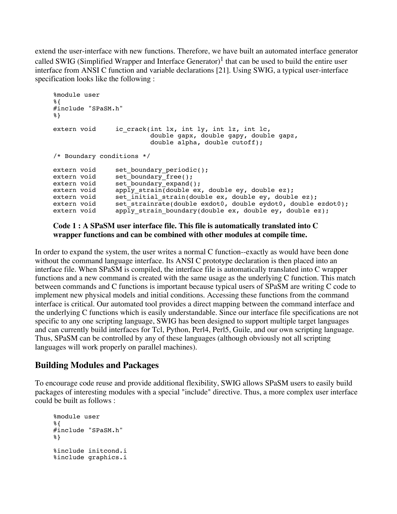extend the user-interface with new functions. Therefore, we have built an automated interface generator called SWIG (Simplified Wrapper and Interface Generator)<sup>1</sup> that can be used to build the entire user interface from ANSI C function and variable declarations [21]. Using SWIG, a typical user-interface specification looks like the following :

```
%module user
%{
#include "SPaSM.h"
%}
extern void ic crack(int lx, int ly, int lz, int lc,
                         double gapx, double gapy, double gapz,
                         double alpha, double cutoff);
/* Boundary conditions */
extern void set boundary periodic();
extern void set boundary free();
extern void set boundary expand();
extern void apply strain(double ex, double ey, double ez);
extern void set initial strain(double ex, double ey, double ez);
extern void set_strainrate(double exdot0, double eydot0, double ezdot0);
extern void apply strain boundary(double ex, double ey, double ez);
```
#### **Code 1 : A SPaSM user interface file. This file is automatically translated into C wrapper functions and can be combined with other modules at compile time.**

In order to expand the system, the user writes a normal C function--exactly as would have been done without the command language interface. Its ANSI C prototype declaration is then placed into an interface file. When SPaSM is compiled, the interface file is automatically translated into C wrapper functions and a new command is created with the same usage as the underlying C function. This match between commands and C functions is important because typical users of SPaSM are writing C code to implement new physical models and initial conditions. Accessing these functions from the command interface is critical. Our automated tool provides a direct mapping between the command interface and the underlying C functions which is easily understandable. Since our interface file specifications are not specific to any one scripting language, SWIG has been designed to support multiple target languages and can currently build interfaces for Tcl, Python, Perl4, Perl5, Guile, and our own scripting language. Thus, SPaSM can be controlled by any of these languages (although obviously not all scripting languages will work properly on parallel machines).

#### **Building Modules and Packages**

To encourage code reuse and provide additional flexibility, SWIG allows SPaSM users to easily build packages of interesting modules with a special "include" directive. Thus, a more complex user interface could be built as follows :

```
%module user
%{
#include "SPaSM.h"
%}
%include initcond.i
%include graphics.i
```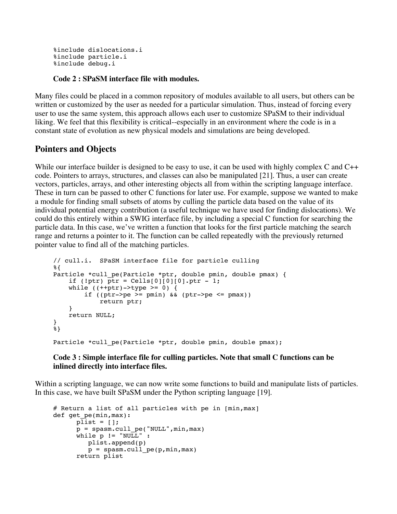```
%include dislocations.i
%include particle.i
%include debug.i
```
#### **Code 2 : SPaSM interface file with modules.**

Many files could be placed in a common repository of modules available to all users, but others can be written or customized by the user as needed for a particular simulation. Thus, instead of forcing every user to use the same system, this approach allows each user to customize SPaSM to their individual liking. We feel that this flexibility is critical--especially in an environment where the code is in a constant state of evolution as new physical models and simulations are being developed.

#### **Pointers and Objects**

While our interface builder is designed to be easy to use, it can be used with highly complex C and C++ code. Pointers to arrays, structures, and classes can also be manipulated [21]. Thus, a user can create vectors, particles, arrays, and other interesting objects all from within the scripting language interface. These in turn can be passed to other C functions for later use. For example, suppose we wanted to make a module for finding small subsets of atoms by culling the particle data based on the value of its individual potential energy contribution (a useful technique we have used for finding dislocations). We could do this entirely within a SWIG interface file, by including a special C function for searching the particle data. In this case, we've written a function that looks for the first particle matching the search range and returns a pointer to it. The function can be called repeatedly with the previously returned pointer value to find all of the matching particles.

```
// cull.i. SPaSM interface file for particle culling
%{
Particle *cull pe(Particle *ptr, double pmin, double pmax) {
    if (!ptr) ptr = Cells[0][0][0].ptr - 1;while ((++ptr)->type >= 0)if ((ptr->pe >= pmin) \&& (ptr->pe <= pmax))
             return ptr;
     } 
     return NULL;
}
.<br>8 }
Particle *cull pe(Particle *ptr, double pmin, double pmax);
```
#### **Code 3 : Simple interface file for culling particles. Note that small C functions can be inlined directly into interface files.**

Within a scripting language, we can now write some functions to build and manipulate lists of particles. In this case, we have built SPaSM under the Python scripting language [19].

```
# Return a list of all particles with pe in [min,max]
def get pe(min, max):
      \overline{\text{plist}} = [ ]; p = spasm.cull_pe("NULL",min,max)
      while p := "NULL":
          plist.append(p)
          p = spasm.cull_pe(p,min,max) return plist
```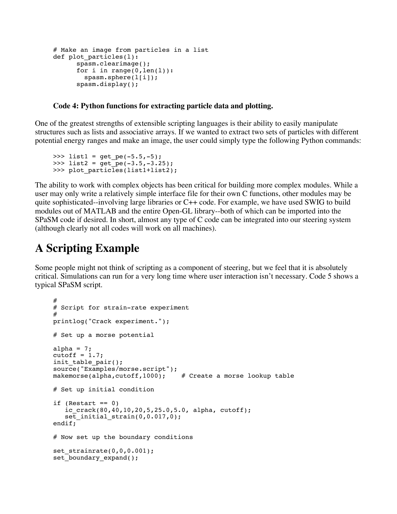```
# Make an image from particles in a list
def plot particles(l):
       spasm.clearimage(); 
      for i in range(0, len(1)):
         spasm.sphere(l[i]);
       spasm.display();
```
#### **Code 4: Python functions for extracting particle data and plotting.**

One of the greatest strengths of extensible scripting languages is their ability to easily manipulate structures such as lists and associative arrays. If we wanted to extract two sets of particles with different potential energy ranges and make an image, the user could simply type the following Python commands:

```
>>> list1 = get pe(-5.5,-5);
>>> list2 = get pe(-3.5,-3.25);
>>> plot particles(list1+list2);
```
The ability to work with complex objects has been critical for building more complex modules. While a user may only write a relatively simple interface file for their own C functions, other modules may be quite sophisticated--involving large libraries or C++ code. For example, we have used SWIG to build modules out of MATLAB and the entire Open-GL library--both of which can be imported into the SPaSM code if desired. In short, almost any type of C code can be integrated into our steering system (although clearly not all codes will work on all machines).

### **A Scripting Example**

Some people might not think of scripting as a component of steering, but we feel that it is absolutely critical. Simulations can run for a very long time where user interaction isn't necessary. Code 5 shows a typical SPaSM script.

```
#
# Script for strain-rate experiment
#
printlog("Crack experiment.");
# Set up a morse potential
alpha = 7;
cutoff = 1.7;
init table pair();
source("Examples/morse.script");<br>makemorse(alpha.cutoff.1000); # Create a morse lookup table
makemorse(alpha,cutoff,1000);
# Set up initial condition 
if (Restart == 0)
   ic crack(80,40,10,20,5,25.0,5.0, alpha, cutoff);
    set_initial_strain(0,0.017,0);
endif;
# Now set up the boundary conditions
set strainrate(0,0,0.001);
set boundary expand();
```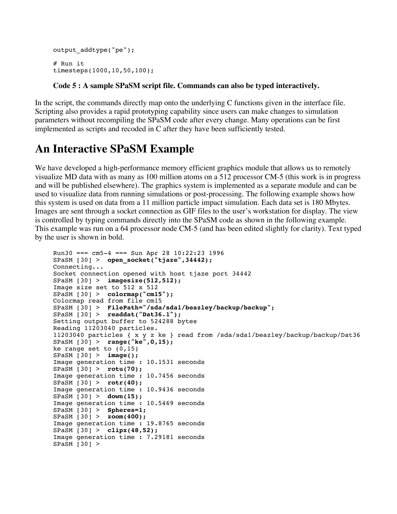```
output addtype("pe");
# Run it
timesteps(1000,10,50,100);
```
#### **Code 5 : A sample SPaSM script file. Commands can also be typed interactively.**

In the script, the commands directly map onto the underlying C functions given in the interface file. Scripting also provides a rapid prototyping capability since users can make changes to simulation parameters without recompiling the SPaSM code after every change. Many operations can be first implemented as scripts and recoded in C after they have been sufficiently tested.

#### **An Interactive SPaSM Example**

We have developed a high-performance memory efficient graphics module that allows us to remotely visualize MD data with as many as 100 million atoms on a 512 processor CM-5 (this work is in progress and will be published elsewhere). The graphics system is implemented as a separate module and can be used to visualize data from running simulations or post-processing. The following example shows how this system is used on data from a 11 million particle impact simulation. Each data set is 180 Mbytes. Images are sent through a socket connection as GIF files to the user's workstation for display. The view is controlled by typing commands directly into the SPaSM code as shown in the following example. This example was run on a 64 processor node CM-5 (and has been edited slightly for clarity). Text typed by the user is shown in bold.

```
Run30 == cm5-4 == Sun Apr 28 10:22:23 1996SPaSM [30] > open_socket("tjaze",34442); 
Connecting...
Socket connection opened with host tjaze port 34442
SPaSM [30] > imagesize(512,512); 
Image size set to 512 x 512
SPaSM [30] > colormap("cm15"); 
Colormap read from file cm15
SPaSM [30] > FilePath="/sda/sda1/beazley/backup/backup"; 
SPaSM [30] > readdat("Dat36.1"); 
Setting output buffer to 524288 bytes
Reading 11203040 particles.
11203040 particles { x y z ke } read from /sda/sda1/beazley/backup/backup/Dat36
SPaSM [30] > range("ke",0,15); 
ke range set to (0, 15)SPaSM [30] > image(); 
Image generation time : 10.1531 seconds
SPaSM [30] > rotu(70); 
Image generation time : 10.7456 seconds
SPaSM [30] > rotr(40); 
Image generation time : 10.9436 seconds
SPaSM [30] > down(15); 
Image generation time : 10.5469 seconds
SPaSM [30] > Spheres=1; 
SPaSM [30] > zoom(400); 
Image generation time : 19.8765 seconds
SPaSM [30] > clipx(48,52); 
Image generation time : 7.29181 seconds
SPaSM [30] >
```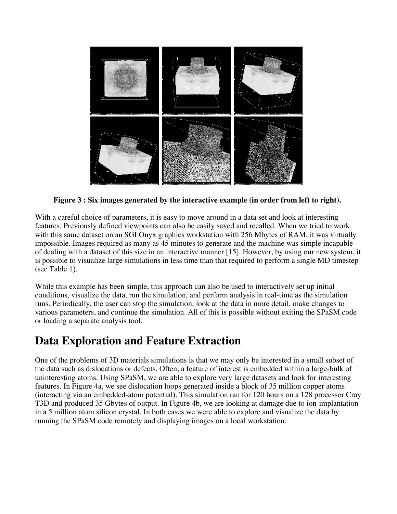

**Figure 3 : Six images generated by the interactive example (in order from left to right).** 

With a careful choice of parameters, it is easy to move around in a data set and look at interesting features. Previously defined viewpoints can also be easily saved and recalled. When we tried to work with this same dataset on an SGI Onyx graphics workstation with 256 Mbytes of RAM, it was virtually impossible. Images required as many as 45 minutes to generate and the machine was simple incapable of dealing with a dataset of this size in an interactive manner [15]. However, by using our new system, it is possible to visualize large simulations in less time than that required to perform a single MD timestep (see Table 1).

While this example has been simple, this approach can also be used to interactively set up initial conditions, visualize the data, run the simulation, and perform analysis in real-time as the simulation runs. Periodically, the user can stop the simulation, look at the data in more detail, make changes to various parameters, and continue the simulation. All of this is possible without exiting the SPaSM code or loading a separate analysis tool.

### **Data Exploration and Feature Extraction**

One of the problems of 3D materials simulations is that we may only be interested in a small subset of the data such as dislocations or defects. Often, a feature of interest is embedded within a large-bulk of uninteresting atoms. Using SPaSM, we are able to explore very large datasets and look for interesting features. In Figure 4a, we see dislocation loops generated inside a block of 35 million copper atoms (interacting via an embedded-atom potential). This simulation ran for 120 hours on a 128 processor Cray T3D and produced 35 Gbytes of output. In Figure 4b, we are looking at damage due to ion-implantation in a 5 million atom silicon crystal. In both cases we were able to explore and visualize the data by running the SPaSM code remotely and displaying images on a local workstation.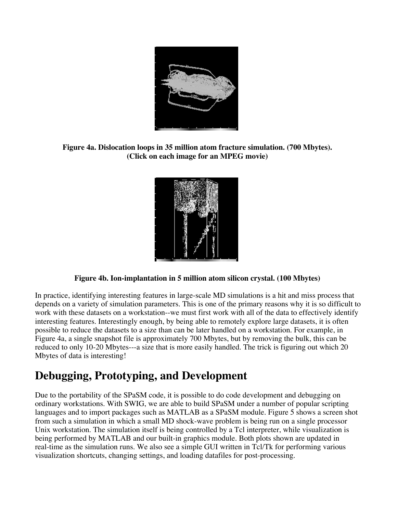

**Figure 4a. Dislocation loops in 35 million atom fracture simulation. (700 Mbytes). (Click on each image for an MPEG movie)** 



#### **Figure 4b. Ion-implantation in 5 million atom silicon crystal. (100 Mbytes)**

In practice, identifying interesting features in large-scale MD simulations is a hit and miss process that depends on a variety of simulation parameters. This is one of the primary reasons why it is so difficult to work with these datasets on a workstation--we must first work with all of the data to effectively identify interesting features. Interestingly enough, by being able to remotely explore large datasets, it is often possible to reduce the datasets to a size than can be later handled on a workstation. For example, in Figure 4a, a single snapshot file is approximately 700 Mbytes, but by removing the bulk, this can be reduced to only 10-20 Mbytes---a size that is more easily handled. The trick is figuring out which 20 Mbytes of data is interesting!

### **Debugging, Prototyping, and Development**

Due to the portability of the SPaSM code, it is possible to do code development and debugging on ordinary workstations. With SWIG, we are able to build SPaSM under a number of popular scripting languages and to import packages such as MATLAB as a SPaSM module. Figure 5 shows a screen shot from such a simulation in which a small MD shock-wave problem is being run on a single processor Unix workstation. The simulation itself is being controlled by a Tcl interpreter, while visualization is being performed by MATLAB and our built-in graphics module. Both plots shown are updated in real-time as the simulation runs. We also see a simple GUI written in Tcl/Tk for performing various visualization shortcuts, changing settings, and loading datafiles for post-processing.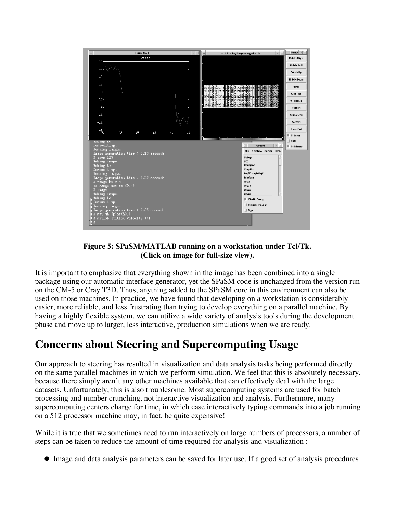

**Figure 5: SPaSM/MATLAB running on a workstation under Tcl/Tk. (Click on image for full-size view).** 

It is important to emphasize that everything shown in the image has been combined into a single package using our automatic interface generator, yet the SPaSM code is unchanged from the version run on the CM-5 or Cray T3D. Thus, anything added to the SPaSM core in this environment can also be used on those machines. In practice, we have found that developing on a workstation is considerably easier, more reliable, and less frustrating than trying to develop everything on a parallel machine. By having a highly flexible system, we can utilize a wide variety of analysis tools during the development phase and move up to larger, less interactive, production simulations when we are ready.

### **Concerns about Steering and Supercomputing Usage**

Our approach to steering has resulted in visualization and data analysis tasks being performed directly on the same parallel machines in which we perform simulation. We feel that this is absolutely necessary, because there simply aren't any other machines available that can effectively deal with the large datasets. Unfortunately, this is also troublesome. Most supercomputing systems are used for batch processing and number crunching, not interactive visualization and analysis. Furthermore, many supercomputing centers charge for time, in which case interactively typing commands into a job running on a 512 processor machine may, in fact, be quite expensive!

While it is true that we sometimes need to run interactively on large numbers of processors, a number of steps can be taken to reduce the amount of time required for analysis and visualization :

Image and data analysis parameters can be saved for later use. If a good set of analysis procedures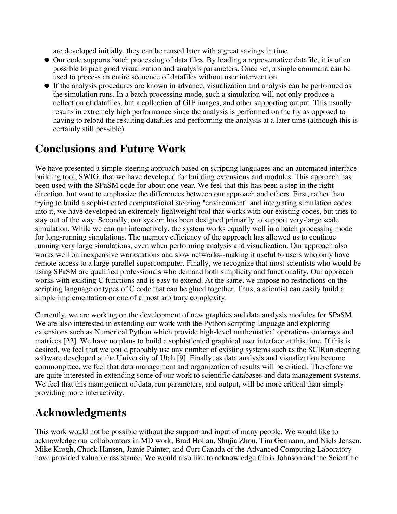are developed initially, they can be reused later with a great savings in time.

- Our code supports batch processing of data files. By loading a representative datafile, it is often possible to pick good visualization and analysis parameters. Once set, a single command can be used to process an entire sequence of datafiles without user intervention.
- If the analysis procedures are known in advance, visualization and analysis can be performed as the simulation runs. In a batch processing mode, such a simulation will not only produce a collection of datafiles, but a collection of GIF images, and other supporting output. This usually results in extremely high performance since the analysis is performed on the fly as opposed to having to reload the resulting datafiles and performing the analysis at a later time (although this is certainly still possible).

# **Conclusions and Future Work**

We have presented a simple steering approach based on scripting languages and an automated interface building tool, SWIG, that we have developed for building extensions and modules. This approach has been used with the SPaSM code for about one year. We feel that this has been a step in the right direction, but want to emphasize the differences between our approach and others. First, rather than trying to build a sophisticated computational steering "environment" and integrating simulation codes into it, we have developed an extremely lightweight tool that works with our existing codes, but tries to stay out of the way. Secondly, our system has been designed primarily to support very-large scale simulation. While we can run interactively, the system works equally well in a batch processing mode for long-running simulations. The memory efficiency of the approach has allowed us to continue running very large simulations, even when performing analysis and visualization. Our approach also works well on inexpensive workstations and slow networks--making it useful to users who only have remote access to a large parallel supercomputer. Finally, we recognize that most scientists who would be using SPaSM are qualified professionals who demand both simplicity and functionality. Our approach works with existing C functions and is easy to extend. At the same, we impose no restrictions on the scripting language or types of C code that can be glued together. Thus, a scientist can easily build a simple implementation or one of almost arbitrary complexity.

Currently, we are working on the development of new graphics and data analysis modules for SPaSM. We are also interested in extending our work with the Python scripting language and exploring extensions such as Numerical Python which provide high-level mathematical operations on arrays and matrices [22]. We have no plans to build a sophisticated graphical user interface at this time. If this is desired, we feel that we could probably use any number of existing systems such as the SCIRun steering software developed at the University of Utah [9]. Finally, as data analysis and visualization become commonplace, we feel that data management and organization of results will be critical. Therefore we are quite interested in extending some of our work to scientific databases and data management systems. We feel that this management of data, run parameters, and output, will be more critical than simply providing more interactivity.

### **Acknowledgments**

This work would not be possible without the support and input of many people. We would like to acknowledge our collaborators in MD work, Brad Holian, Shujia Zhou, Tim Germann, and Niels Jensen. Mike Krogh, Chuck Hansen, Jamie Painter, and Curt Canada of the Advanced Computing Laboratory have provided valuable assistance. We would also like to acknowledge Chris Johnson and the Scientific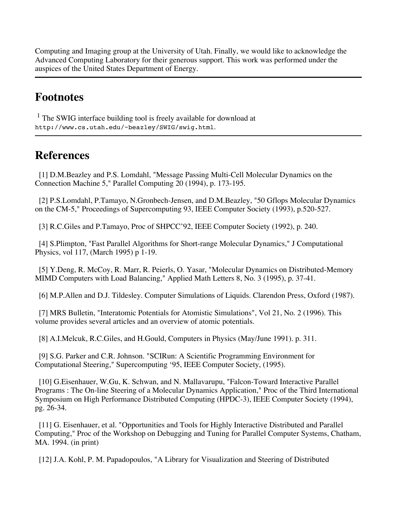Computing and Imaging group at the University of Utah. Finally, we would like to acknowledge the Advanced Computing Laboratory for their generous support. This work was performed under the auspices of the United States Department of Energy.

### **Footnotes**

<sup>1</sup> The SWIG interface building tool is freely available for download at http://www.cs.utah.edu/~beazley/SWIG/swig.html.

#### **References**

 [1] D.M.Beazley and P.S. Lomdahl, "Message Passing Multi-Cell Molecular Dynamics on the Connection Machine 5," Parallel Computing 20 (1994), p. 173-195.

 [2] P.S.Lomdahl, P.Tamayo, N.Gronbech-Jensen, and D.M.Beazley, "50 Gflops Molecular Dynamics on the CM-5," Proceedings of Supercomputing 93, IEEE Computer Society (1993), p.520-527.

[3] R.C.Giles and P.Tamayo, Proc of SHPCC'92, IEEE Computer Society (1992), p. 240.

 [4] S.Plimpton, "Fast Parallel Algorithms for Short-range Molecular Dynamics," J Computational Physics, vol 117, (March 1995) p 1-19.

 [5] Y.Deng, R. McCoy, R. Marr, R. Peierls, O. Yasar, "Molecular Dynamics on Distributed-Memory MIMD Computers with Load Balancing," Applied Math Letters 8, No. 3 (1995), p. 37-41.

[6] M.P.Allen and D.J. Tildesley. Computer Simulations of Liquids. Clarendon Press, Oxford (1987).

 [7] MRS Bulletin, "Interatomic Potentials for Atomistic Simulations", Vol 21, No. 2 (1996). This volume provides several articles and an overview of atomic potentials.

[8] A.I.Melcuk, R.C.Giles, and H.Gould, Computers in Physics (May/June 1991). p. 311.

 [9] S.G. Parker and C.R. Johnson. "SCIRun: A Scientific Programming Environment for Computational Steering," Supercomputing '95, IEEE Computer Society, (1995).

[10] G.Eisenhauer, W.Gu, K. Schwan, and N. Mallavarupu, "Falcon-Toward Interactive Parallel Programs : The On-line Steering of a Molecular Dynamics Application," Proc of the Third International Symposium on High Performance Distributed Computing (HPDC-3), IEEE Computer Society (1994), pg. 26-34.

 [11] G. Eisenhauer, et al. "Opportunities and Tools for Highly Interactive Distributed and Parallel Computing," Proc of the Workshop on Debugging and Tuning for Parallel Computer Systems, Chatham, MA. 1994. (in print)

[12] J.A. Kohl, P. M. Papadopoulos, "A Library for Visualization and Steering of Distributed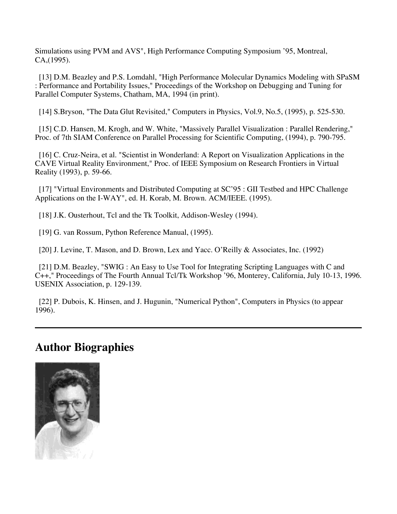Simulations using PVM and AVS", High Performance Computing Symposium '95, Montreal, CA,(1995).

 [13] D.M. Beazley and P.S. Lomdahl, "High Performance Molecular Dynamics Modeling with SPaSM : Performance and Portability Issues," Proceedings of the Workshop on Debugging and Tuning for Parallel Computer Systems, Chatham, MA, 1994 (in print).

[14] S.Bryson, "The Data Glut Revisited," Computers in Physics, Vol.9, No.5, (1995), p. 525-530.

 [15] C.D. Hansen, M. Krogh, and W. White, "Massively Parallel Visualization : Parallel Rendering," Proc. of 7th SIAM Conference on Parallel Processing for Scientific Computing, (1994), p. 790-795.

 [16] C. Cruz-Neira, et al. "Scientist in Wonderland: A Report on Visualization Applications in the CAVE Virtual Reality Environment," Proc. of IEEE Symposium on Research Frontiers in Virtual Reality (1993), p. 59-66.

 [17] "Virtual Environments and Distributed Computing at SC'95 : GII Testbed and HPC Challenge Applications on the I-WAY", ed. H. Korab, M. Brown. ACM/IEEE. (1995).

[18] J.K. Ousterhout, Tcl and the Tk Toolkit, Addison-Wesley (1994).

[19] G. van Rossum, Python Reference Manual, (1995).

[20] J. Levine, T. Mason, and D. Brown, Lex and Yacc. O'Reilly & Associates, Inc. (1992)

 [21] D.M. Beazley, "SWIG : An Easy to Use Tool for Integrating Scripting Languages with C and C++," Proceedings of The Fourth Annual Tcl/Tk Workshop '96, Monterey, California, July 10-13, 1996. USENIX Association, p. 129-139.

 [22] P. Dubois, K. Hinsen, and J. Hugunin, "Numerical Python", Computers in Physics (to appear 1996).

#### **Author Biographies**